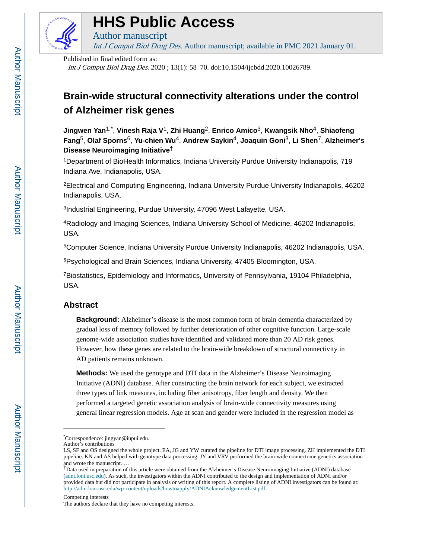

# **HHS Public Access**

Author manuscript Int J Comput Biol Drug Des. Author manuscript; available in PMC 2021 January 01.

Published in final edited form as:

Int J Comput Biol Drug Des. 2020 ; 13(1): 58–70. doi:10.1504/ijcbdd.2020.10026789.

# **Brain-wide structural connectivity alterations under the control of Alzheimer risk genes**

**Jingwen Yan**1,\* , **Vinesh Raja V**1, **Zhi Huang**2, **Enrico Amico**3, **Kwangsik Nho**4, **Shiaofeng Fang**5, **Olaf Sporns**6, **Yu-chien Wu**4, **Andrew Saykin**4, **Joaquin Goni**3, **Li Shen**7, **Alzheimer's Disease Neuroimaging Initiative**†

<sup>1</sup>Department of BioHealth Informatics, Indiana University Purdue University Indianapolis, 719 Indiana Ave, Indianapolis, USA.

<sup>2</sup>Electrical and Computing Engineering, Indiana University Purdue University Indianapolis, 46202 Indianapolis, USA.

3 Industrial Engineering, Purdue University, 47096 West Lafayette, USA.

<sup>4</sup>Radiology and Imaging Sciences, Indiana University School of Medicine, 46202 Indianapolis, USA.

<sup>5</sup>Computer Science, Indiana University Purdue University Indianapolis, 46202 Indianapolis, USA.

<sup>6</sup>Psychological and Brain Sciences, Indiana University, 47405 Bloomington, USA.

<sup>7</sup>Biostatistics, Epidemiology and Informatics, University of Pennsylvania, 19104 Philadelphia, USA.

# **Abstract**

**Background:** Alzheimer's disease is the most common form of brain dementia characterized by gradual loss of memory followed by further deterioration of other cognitive function. Large-scale genome-wide association studies have identified and validated more than 20 AD risk genes. However, how these genes are related to the brain-wide breakdown of structural connectivity in AD patients remains unknown.

**Methods:** We used the genotype and DTI data in the Alzheimer's Disease Neuroimaging Initiative (ADNI) database. After constructing the brain network for each subject, we extracted three types of link measures, including fiber anisotropy, fiber length and density. We then performed a targeted genetic association analysis of brain-wide connectivity measures using general linear regression models. Age at scan and gender were included in the regression model as

Competing interests

<sup>\*</sup>Correspondence: jingyan@iupui.edu.

Author's contributions

LS, SF and OS designed the whole project. EA, JG and YW curated the pipeline for DTI image processing. ZH implemented the DTI pipeline. KN and AS helped with genotype data processing. JY and VRV performed the brain-wide connectome genetics association and wrote the manuscript. …

<sup>†</sup>Data used in preparation of this article were obtained from the Alzheimer's Disease Neuroimaging Initiative (ADNI) database ([adni.loni.usc.edu](http://adni.loni.usc.edu)). As such, the investigators within the ADNI contributed to the design and implementation of ADNI and/or provided data but did not participate in analysis or writing of this report. A complete listing of ADNI investigators can be found at: <http://adni.loni.usc.edu/wp-content/uploads/howtoapply/ADNIAcknowledgementList.pdf>.

The authors declare that they have no competing interests.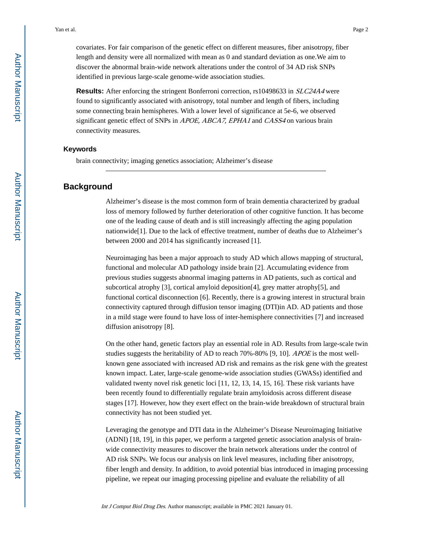covariates. For fair comparison of the genetic effect on different measures, fiber anisotropy, fiber length and density were all normalized with mean as 0 and standard deviation as one.We aim to discover the abnormal brain-wide network alterations under the control of 34 AD risk SNPs identified in previous large-scale genome-wide association studies.

**Results:** After enforcing the stringent Bonferroni correction, rs10498633 in *SLC24A4* were found to significantly associated with anisotropy, total number and length of fibers, including some connecting brain hemispheres. With a lower level of significance at 5e-6, we observed significant genetic effect of SNPs in *APOE, ABCA7, EPHA1* and *CASS4* on various brain connectivity measures.

#### **Keywords**

brain connectivity; imaging genetics association; Alzheimer's disease

# **Background**

Alzheimer's disease is the most common form of brain dementia characterized by gradual loss of memory followed by further deterioration of other cognitive function. It has become one of the leading cause of death and is still increasingly affecting the aging population nationwide[1]. Due to the lack of effective treatment, number of deaths due to Alzheimer's between 2000 and 2014 has significantly increased [1].

Neuroimaging has been a major approach to study AD which allows mapping of structural, functional and molecular AD pathology inside brain [2]. Accumulating evidence from previous studies suggests abnormal imaging patterns in AD patients, such as cortical and subcortical atrophy [3], cortical amyloid deposition[4], grey matter atrophy[5], and functional cortical disconnection [6]. Recently, there is a growing interest in structural brain connectivity captured through diffusion tensor imaging (DTI)in AD. AD patients and those in a mild stage were found to have loss of inter-hemisphere connectivities [7] and increased diffusion anisotropy [8].

On the other hand, genetic factors play an essential role in AD. Results from large-scale twin studies suggests the heritability of AD to reach 70%-80% [9, 10]. APOE is the most wellknown gene associated with increased AD risk and remains as the risk gene with the greatest known impact. Later, large-scale genome-wide association studies (GWASs) identified and validated twenty novel risk genetic loci [11, 12, 13, 14, 15, 16]. These risk variants have been recently found to differentially regulate brain amyloidosis across different disease stages [17]. However, how they exert effect on the brain-wide breakdown of structural brain connectivity has not been studied yet.

Leveraging the genotype and DTI data in the Alzheimer's Disease Neuroimaging Initiative (ADNI) [18, 19], in this paper, we perform a targeted genetic association analysis of brainwide connectivity measures to discover the brain network alterations under the control of AD risk SNPs. We focus our analysis on link level measures, including fiber anisotropy, fiber length and density. In addition, to avoid potential bias introduced in imaging processing pipeline, we repeat our imaging processing pipeline and evaluate the reliability of all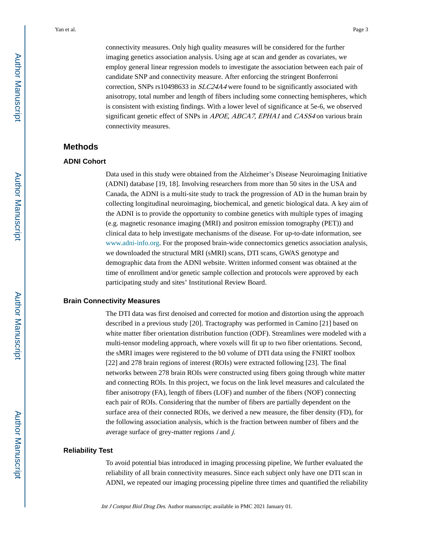connectivity measures. Only high quality measures will be considered for the further imaging genetics association analysis. Using age at scan and gender as covariates, we employ general linear regression models to investigate the association between each pair of candidate SNP and connectivity measure. After enforcing the stringent Bonferroni correction, SNPs rs10498633 in SLC24A4 were found to be significantly associated with anisotropy, total number and length of fibers including some connecting hemispheres, which is consistent with existing findings. With a lower level of significance at 5e-6, we observed significant genetic effect of SNPs in APOE, ABCA7, EPHA1 and CASS4 on various brain connectivity measures.

# **Methods**

#### **ADNI Cohort**

Data used in this study were obtained from the Alzheimer's Disease Neuroimaging Initiative (ADNI) database [19, 18]. Involving researchers from more than 50 sites in the USA and Canada, the ADNI is a multi-site study to track the progression of AD in the human brain by collecting longitudinal neuroimaging, biochemical, and genetic biological data. A key aim of the ADNI is to provide the opportunity to combine genetics with multiple types of imaging (e.g. magnetic resonance imaging (MRI) and positron emission tomography (PET)) and clinical data to help investigate mechanisms of the disease. For up-to-date information, see [www.adni-info.org.](http://www.adni-info.org/) For the proposed brain-wide connectomics genetics association analysis, we downloaded the structural MRI (sMRI) scans, DTI scans, GWAS genotype and demographic data from the ADNI website. Written informed consent was obtained at the time of enrollment and/or genetic sample collection and protocols were approved by each participating study and sites' Institutional Review Board.

#### **Brain Connectivity Measures**

The DTI data was first denoised and corrected for motion and distortion using the approach described in a previous study [20]. Tractography was performed in Camino [21] based on white matter fiber orientation distribution function (ODF). Streamlines were modeled with a multi-tensor modeling approach, where voxels will fit up to two fiber orientations. Second, the sMRI images were registered to the b0 volume of DTI data using the FNIRT toolbox [22] and 278 brain regions of interest (ROIs) were extracted following [23]. The final networks between 278 brain ROIs were constructed using fibers going through white matter and connecting ROIs. In this project, we focus on the link level measures and calculated the fiber anisotropy (FA), length of fibers (LOF) and number of the fibers (NOF) connecting each pair of ROIs. Considering that the number of fibers are partially dependent on the surface area of their connected ROIs, we derived a new measure, the fiber density (FD), for the following association analysis, which is the fraction between number of fibers and the average surface of grey-matter regions  $i$  and  $j$ .

#### **Reliability Test**

To avoid potential bias introduced in imaging processing pipeline, We further evaluated the reliability of all brain connectivity measures. Since each subject only have one DTI scan in ADNI, we repeated our imaging processing pipeline three times and quantified the reliability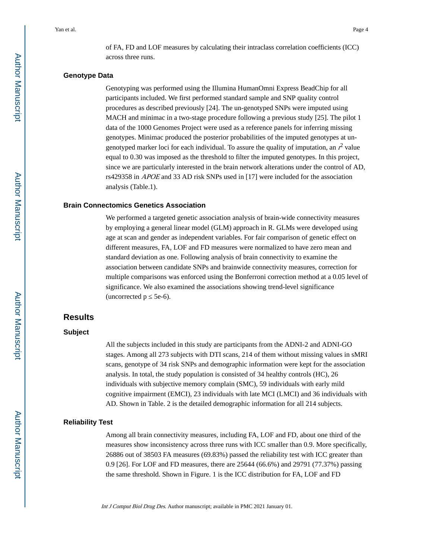of FA, FD and LOF measures by calculating their intraclass correlation coefficients (ICC) across three runs.

#### **Genotype Data**

Genotyping was performed using the Illumina HumanOmni Express BeadChip for all participants included. We first performed standard sample and SNP quality control procedures as described previously [24]. The un-genotyped SNPs were imputed using MACH and minimac in a two-stage procedure following a previous study [25]. The pilot 1 data of the 1000 Genomes Project were used as a reference panels for inferring missing genotypes. Minimac produced the posterior probabilities of the imputed genotypes at ungenotyped marker loci for each individual. To assure the quality of imputation, an  $r^2$  value equal to 0.30 was imposed as the threshold to filter the imputed genotypes. In this project, since we are particularly interested in the brain network alterations under the control of AD, rs429358 in APOE and 33 AD risk SNPs used in [17] were included for the association analysis (Table.1).

#### **Brain Connectomics Genetics Association**

We performed a targeted genetic association analysis of brain-wide connectivity measures by employing a general linear model (GLM) approach in R. GLMs were developed using age at scan and gender as independent variables. For fair comparison of genetic effect on different measures, FA, LOF and FD measures were normalized to have zero mean and standard deviation as one. Following analysis of brain connectivity to examine the association between candidate SNPs and brainwide connectivity measures, correction for multiple comparisons was enforced using the Bonferroni correction method at a 0.05 level of significance. We also examined the associations showing trend-level significance  $(uncorrected p 5e-6).$ 

# **Results**

## **Subject**

All the subjects included in this study are participants from the ADNI-2 and ADNI-GO stages. Among all 273 subjects with DTI scans, 214 of them without missing values in sMRI scans, genotype of 34 risk SNPs and demographic information were kept for the association analysis. In total, the study population is consisted of 34 healthy controls (HC), 26 individuals with subjective memory complain (SMC), 59 individuals with early mild cognitive impairment (EMCI), 23 individuals with late MCI (LMCI) and 36 individuals with AD. Shown in Table. 2 is the detailed demographic information for all 214 subjects.

#### **Reliability Test**

Among all brain connectivity measures, including FA, LOF and FD, about one third of the measures show inconsistency across three runs with ICC smaller than 0.9. More specifically, 26886 out of 38503 FA measures (69.83%) passed the reliability test with ICC greater than 0.9 [26]. For LOF and FD measures, there are 25644 (66.6%) and 29791 (77.37%) passing the same threshold. Shown in Figure. 1 is the ICC distribution for FA, LOF and FD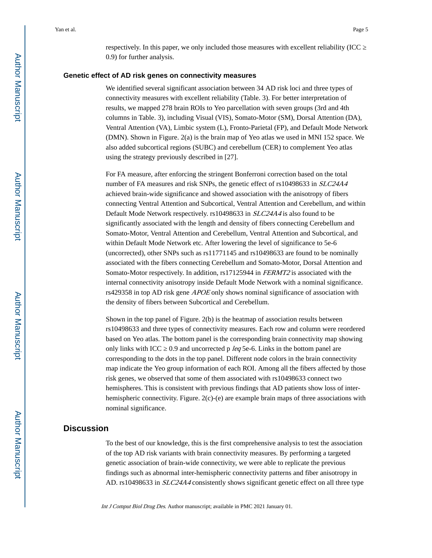respectively. In this paper, we only included those measures with excellent reliability (ICC 0.9) for further analysis.

#### **Genetic effect of AD risk genes on connectivity measures**

We identified several significant association between 34 AD risk loci and three types of connectivity measures with excellent reliability (Table. 3). For better interpretation of results, we mapped 278 brain ROIs to Yeo parcellation with seven groups (3rd and 4th columns in Table. 3), including Visual (VIS), Somato-Motor (SM), Dorsal Attention (DA), Ventral Attention (VA), Limbic system (L), Fronto-Parietal (FP), and Default Mode Network (DMN). Shown in Figure. 2(a) is the brain map of Yeo atlas we used in MNI 152 space. We also added subcortical regions (SUBC) and cerebellum (CER) to complement Yeo atlas using the strategy previously described in [27].

For FA measure, after enforcing the stringent Bonferroni correction based on the total number of FA measures and risk SNPs, the genetic effect of rs10498633 in *SLC24A4* achieved brain-wide significance and showed association with the anisotropy of fibers connecting Ventral Attention and Subcortical, Ventral Attention and Cerebellum, and within Default Mode Network respectively. rs10498633 in SLC24A4 is also found to be significantly associated with the length and density of fibers connecting Cerebellum and Somato-Motor, Ventral Attention and Cerebellum, Ventral Attention and Subcortical, and within Default Mode Network etc. After lowering the level of significance to 5e-6 (uncorrected), other SNPs such as rs11771145 and rs10498633 are found to be nominally associated with the fibers connecting Cerebellum and Somato-Motor, Dorsal Attention and Somato-Motor respectively. In addition, rs17125944 in FERMT2 is associated with the internal connectivity anisotropy inside Default Mode Network with a nominal significance. rs429358 in top AD risk gene *APOE* only shows nominal significance of association with the density of fibers between Subcortical and Cerebellum.

Shown in the top panel of Figure. 2(b) is the heatmap of association results between rs10498633 and three types of connectivity measures. Each row and column were reordered based on Yeo atlas. The bottom panel is the corresponding brain connectivity map showing only links with ICC  $\,$  0.9 and uncorrected p *leq* 5e-6. Links in the bottom panel are corresponding to the dots in the top panel. Different node colors in the brain connectivity map indicate the Yeo group information of each ROI. Among all the fibers affected by those risk genes, we observed that some of them associated with rs10498633 connect two hemispheres. This is consistent with previous findings that AD patients show loss of interhemispheric connectivity. Figure. 2(c)-(e) are example brain maps of three associations with nominal significance.

# **Discussion**

To the best of our knowledge, this is the first comprehensive analysis to test the association of the top AD risk variants with brain connectivity measures. By performing a targeted genetic association of brain-wide connectivity, we were able to replicate the previous findings such as abnormal inter-hemispheric connectivity patterns and fiber anisotropy in AD. rs10498633 in SLC24A4 consistently shows significant genetic effect on all three type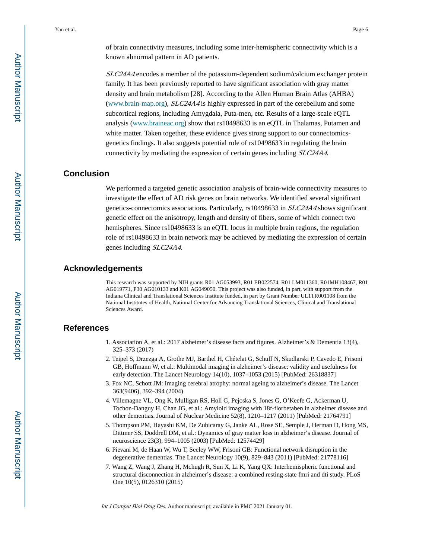of brain connectivity measures, including some inter-hemispheric connectivity which is a known abnormal pattern in AD patients.

SLC24A4 encodes a member of the potassium-dependent sodium/calcium exchanger protein family. It has been previously reported to have significant association with gray matter density and brain metabolism [28]. According to the Allen Human Brain Atlas (AHBA) [\(www.brain-map.org\)](http://www.brain-map.org/), SLC24A4 is highly expressed in part of the cerebellum and some subcortical regions, including Amygdala, Puta-men, etc. Results of a large-scale eQTL analysis [\(www.braineac.org](http://www.braineac.org/)) show that rs10498633 is an eQTL in Thalamas, Putamen and white matter. Taken together, these evidence gives strong support to our connectomicsgenetics findings. It also suggests potential role of rs10498633 in regulating the brain connectivity by mediating the expression of certain genes including SLC24A4.

# **Conclusion**

We performed a targeted genetic association analysis of brain-wide connectivity measures to investigate the effect of AD risk genes on brain networks. We identified several significant genetics-connectomics associations. Particularly, rs10498633 in SLC24A4 shows significant genetic effect on the anisotropy, length and density of fibers, some of which connect two hemispheres. Since rs10498633 is an eQTL locus in multiple brain regions, the regulation role of rs10498633 in brain network may be achieved by mediating the expression of certain genes including SLC24A4.

# **Acknowledgements**

This research was supported by NIH grants R01 AG053993, R01 EB022574, R01 LM011360, R01MH108467, R01 AG019771, P30 AG010133 and K01 AG049050. This project was also funded, in part, with support from the Indiana Clinical and Translational Sciences Institute funded, in part by Grant Number UL1TR001108 from the National Institutes of Health, National Center for Advancing Translational Sciences, Clinical and Translational Sciences Award.

# **References**

- 1. Association A, et al.: 2017 alzheimer's disease facts and figures. Alzheimer's & Dementia 13(4), 325–373 (2017)
- 2. Teipel S, Drzezga A, Grothe MJ, Barthel H, Chételat G, Schuff N, Skudlarski P, Cavedo E, Frisoni GB, Hoffmann W, et al.: Multimodal imaging in alzheimer's disease: validity and usefulness for early detection. The Lancet Neurology 14(10), 1037–1053 (2015) [PubMed: 26318837]
- 3. Fox NC, Schott JM: Imaging cerebral atrophy: normal ageing to alzheimer's disease. The Lancet 363(9406), 392–394 (2004)
- 4. Villemagne VL, Ong K, Mulligan RS, Holl G, Pejoska S, Jones G, O'Keefe G, Ackerman U, Tochon-Danguy H, Chan JG, et al.: Amyloid imaging with 18f-florbetaben in alzheimer disease and other dementias. Journal of Nuclear Medicine 52(8), 1210–1217 (2011) [PubMed: 21764791]
- 5. Thompson PM, Hayashi KM, De Zubicaray G, Janke AL, Rose SE, Semple J, Herman D, Hong MS, Dittmer SS, Doddrell DM, et al.: Dynamics of gray matter loss in alzheimer's disease. Journal of neuroscience 23(3), 994–1005 (2003) [PubMed: 12574429]
- 6. Pievani M, de Haan W, Wu T, Seeley WW, Frisoni GB: Functional network disruption in the degenerative dementias. The Lancet Neurology 10(9), 829–843 (2011) [PubMed: 21778116]
- 7. Wang Z, Wang J, Zhang H, Mchugh R, Sun X, Li K, Yang QX: Interhemispheric functional and structural disconnection in alzheimer's disease: a combined resting-state fmri and dti study. PLoS One 10(5), 0126310 (2015)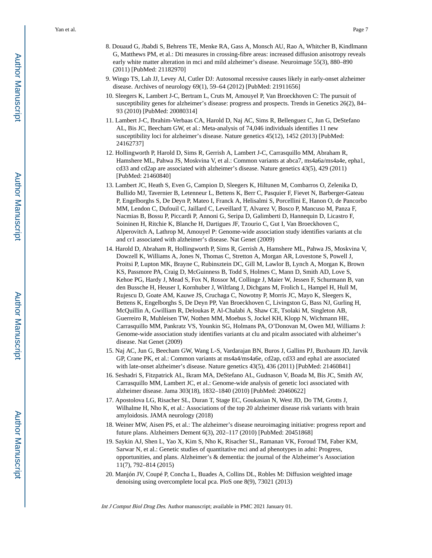- 8. Douaud G, Jbabdi S, Behrens TE, Menke RA, Gass A, Monsch AU, Rao A, Whitcher B, Kindlmann G, Matthews PM, et al.: Dti measures in crossing-fibre areas: increased diffusion anisotropy reveals early white matter alteration in mci and mild alzheimer's disease. Neuroimage 55(3), 880–890 (2011) [PubMed: 21182970]
- 9. Wingo TS, Lah JJ, Levey AI, Cutler DJ: Autosomal recessive causes likely in early-onset alzheimer disease. Archives of neurology 69(1), 59–64 (2012) [PubMed: 21911656]
- 10. Sleegers K, Lambert J-C, Bertram L, Cruts M, Amouyel P, Van Broeckhoven C: The pursuit of susceptibility genes for alzheimer's disease: progress and prospects. Trends in Genetics 26(2), 84– 93 (2010) [PubMed: 20080314]
- 11. Lambert J-C, Ibrahim-Verbaas CA, Harold D, Naj AC, Sims R, Bellenguez C, Jun G, DeStefano AL, Bis JC, Beecham GW, et al.: Meta-analysis of 74,046 individuals identifies 11 new susceptibility loci for alzheimer's disease. Nature genetics 45(12), 1452 (2013) [PubMed: 24162737]
- 12. Hollingworth P, Harold D, Sims R, Gerrish A, Lambert J-C, Carrasquillo MM, Abraham R, Hamshere ML, Pahwa JS, Moskvina V, et al.: Common variants at abca7, ms4a6a/ms4a4e, epha1, cd33 and cd2ap are associated with alzheimer's disease. Nature genetics 43(5), 429 (2011) [PubMed: 21460840]
- 13. Lambert JC, Heath S, Even G, Campion D, Sleegers K, Hiltunen M, Combarros O, Zelenika D, Bullido MJ, Tavernier B, Letenneur L, Bettens K, Berr C, Pasquier F, Fievet N, Barberger-Gateau P, Engelborghs S, De Deyn P, Mateo I, Franck A, Helisalmi S, Porcellini E, Hanon O, de Pancorbo MM, Lendon C, Dufouil C, Jaillard C, Leveillard T, Alvarez V, Bosco P, Mancuso M, Panza F, Nacmias B, Bossu P, Piccardi P, Annoni G, Seripa D, Galimberti D, Hannequin D, Licastro F, Soininen H, Ritchie K, Blanche H, Dartigues JF, Tzourio C, Gut I, Van Broeckhoven C, Alperovitch A, Lathrop M, Amouyel P: Genome-wide association study identifies variants at clu and cr1 associated with alzheimer's disease. Nat Genet (2009)
- 14. Harold D, Abraham R, Hollingworth P, Sims R, Gerrish A, Hamshere ML, Pahwa JS, Moskvina V, Dowzell K, Williams A, Jones N, Thomas C, Stretton A, Morgan AR, Lovestone S, Powell J, Proitsi P, Lupton MK, Brayne C, Rubinsztein DC, Gill M, Lawlor B, Lynch A, Morgan K, Brown KS, Passmore PA, Craig D, McGuinness B, Todd S, Holmes C, Mann D, Smith AD, Love S, Kehoe PG, Hardy J, Mead S, Fox N, Rossor M, Collinge J, Maier W, Jessen F, Schurmann B, van den Bussche H, Heuser I, Kornhuber J, Wiltfang J, Dichgans M, Frolich L, Hampel H, Hull M, Rujescu D, Goate AM, Kauwe JS, Cruchaga C, Nowotny P, Morris JC, Mayo K, Sleegers K, Bettens K, Engelborghs S, De Deyn PP, Van Broeckhoven C, Livingston G, Bass NJ, Gurling H, McQuillin A, Gwilliam R, Deloukas P, Al-Chalabi A, Shaw CE, Tsolaki M, Singleton AB, Guerreiro R, Muhleisen TW, Nothen MM, Moebus S, Jockel KH, Klopp N, Wichmann HE, Carrasquillo MM, Pankratz VS, Younkin SG, Holmans PA, O'Donovan M, Owen MJ, Williams J: Genome-wide association study identifies variants at clu and picalm associated with alzheimer's disease. Nat Genet (2009)
- 15. Naj AC, Jun G, Beecham GW, Wang L-S, Vardarajan BN, Buros J, Gallins PJ, Buxbaum JD, Jarvik GP, Crane PK, et al.: Common variants at ms4a4/ms4a6e, cd2ap, cd33 and epha1 are associated with late-onset alzheimer's disease. Nature genetics 43(5), 436 (2011) [PubMed: 21460841]
- 16. Seshadri S, Fitzpatrick AL, Ikram MA, DeStefano AL, Gudnason V, Boada M, Bis JC, Smith AV, Carrasquillo MM, Lambert JC, et al.: Genome-wide analysis of genetic loci associated with alzheimer disease. Jama 303(18), 1832–1840 (2010) [PubMed: 20460622]
- 17. Apostolova LG, Risacher SL, Duran T, Stage EC, Goukasian N, West JD, Do TM, Grotts J, Wilhalme H, Nho K, et al.: Associations of the top 20 alzheimer disease risk variants with brain amyloidosis. JAMA neurology (2018)
- 18. Weiner MW, Aisen PS, et al.: The alzheimer's disease neuroimaging initiative: progress report and future plans. Alzheimers Dement 6(3), 202–117 (2010) [PubMed: 20451868]
- 19. Saykin AJ, Shen L, Yao X, Kim S, Nho K, Risacher SL, Ramanan VK, Foroud TM, Faber KM, Sarwar N, et al.: Genetic studies of quantitative mci and ad phenotypes in adni: Progress, opportunities, and plans. Alzheimer's & dementia: the journal of the Alzheimer's Association 11(7), 792–814 (2015)
- 20. Manjón JV, Coupé P, Concha L, Buades A, Collins DL, Robles M: Diffusion weighted image denoising using overcomplete local pca. PloS one 8(9), 73021 (2013)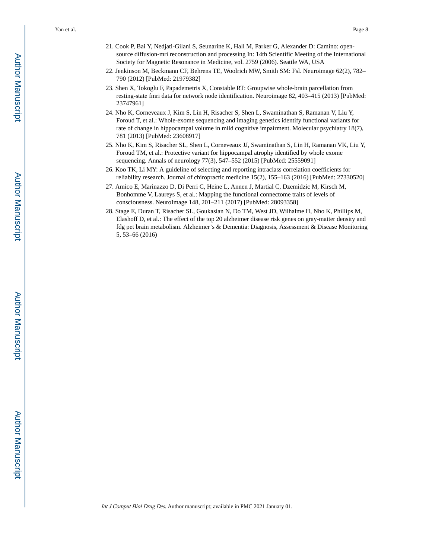- 21. Cook P, Bai Y, Nedjati-Gilani S, Seunarine K, Hall M, Parker G, Alexander D: Camino: opensource diffusion-mri reconstruction and processing In: 14th Scientific Meeting of the International Society for Magnetic Resonance in Medicine, vol. 2759 (2006). Seattle WA, USA
- 22. Jenkinson M, Beckmann CF, Behrens TE, Woolrich MW, Smith SM: Fsl. Neuroimage 62(2), 782– 790 (2012) [PubMed: 21979382]
- 23. Shen X, Tokoglu F, Papademetris X, Constable RT: Groupwise whole-brain parcellation from resting-state fmri data for network node identification. Neuroimage 82, 403–415 (2013) [PubMed: 23747961]
- 24. Nho K, Corneveaux J, Kim S, Lin H, Risacher S, Shen L, Swaminathan S, Ramanan V, Liu Y, Foroud T, et al.: Whole-exome sequencing and imaging genetics identify functional variants for rate of change in hippocampal volume in mild cognitive impairment. Molecular psychiatry 18(7), 781 (2013) [PubMed: 23608917]
- 25. Nho K, Kim S, Risacher SL, Shen L, Corneveaux JJ, Swaminathan S, Lin H, Ramanan VK, Liu Y, Foroud TM, et al.: Protective variant for hippocampal atrophy identified by whole exome sequencing. Annals of neurology 77(3), 547–552 (2015) [PubMed: 25559091]
- 26. Koo TK, Li MY: A guideline of selecting and reporting intraclass correlation coefficients for reliability research. Journal of chiropractic medicine 15(2), 155–163 (2016) [PubMed: 27330520]
- 27. Amico E, Marinazzo D, Di Perri C, Heine L, Annen J, Martial C, Dzemidzic M, Kirsch M, Bonhomme V, Laureys S, et al.: Mapping the functional connectome traits of levels of consciousness. NeuroImage 148, 201–211 (2017) [PubMed: 28093358]
- 28. Stage E, Duran T, Risacher SL, Goukasian N, Do TM, West JD, Wilhalme H, Nho K, Phillips M, Elashoff D, et al.: The effect of the top 20 alzheimer disease risk genes on gray-matter density and fdg pet brain metabolism. Alzheimer's & Dementia: Diagnosis, Assessment & Disease Monitoring 5, 53–66 (2016)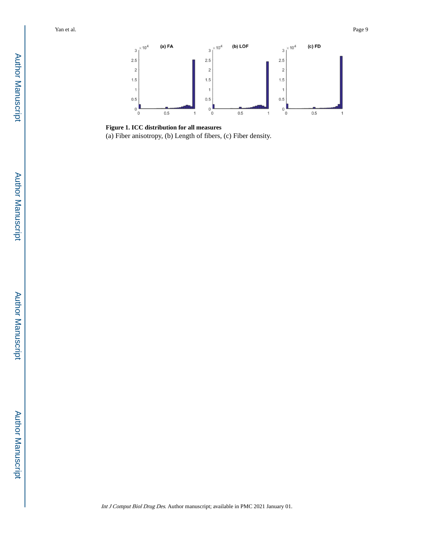

**Figure 1. ICC distribution for all measures** (a) Fiber anisotropy, (b) Length of fibers, (c) Fiber density.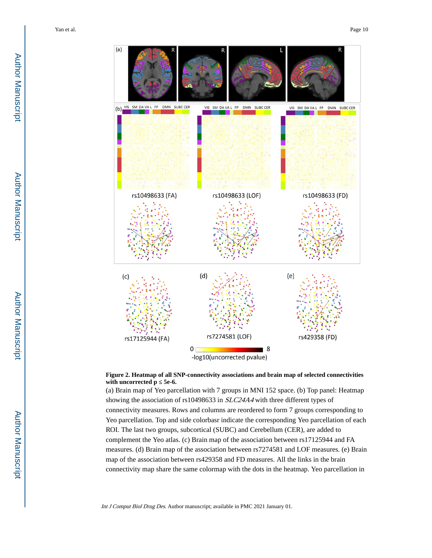

#### **Figure 2. Heatmap of all SNP-connectivity associations and brain map of selected connectivities**  with uncorrected p 5e-6.

(a) Brain map of Yeo parcellation with 7 groups in MNI 152 space. (b) Top panel: Heatmap showing the association of rs10498633 in SLC24A4 with three different types of connectivity measures. Rows and columns are reordered to form 7 groups corresponding to Yeo parcellation. Top and side colorbasr indicate the corresponding Yeo parcellation of each ROI. The last two groups, subcortical (SUBC) and Cerebellum (CER), are added to complement the Yeo atlas. (c) Brain map of the association between rs17125944 and FA measures. (d) Brain map of the association between rs7274581 and LOF measures. (e) Brain map of the association between rs429358 and FD measures. All the links in the brain connectivity map share the same colormap with the dots in the heatmap. Yeo parcellation in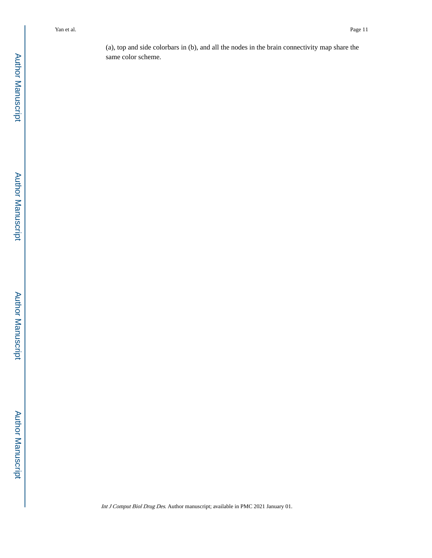(a), top and side colorbars in (b), and all the nodes in the brain connectivity map share the same color scheme.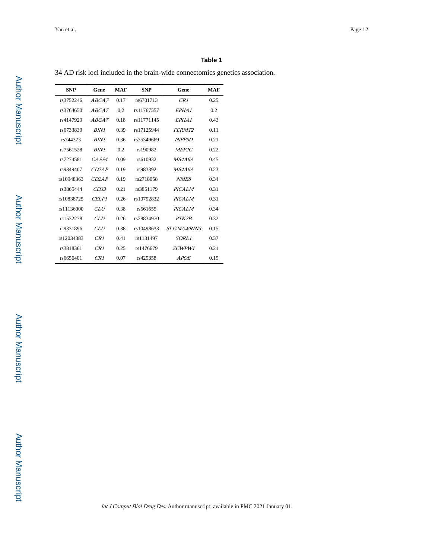### **Table 1**

34 AD risk loci included in the brain-wide connectomics genetics association.

| <b>SNP</b> | Gene         | <b>MAF</b> | <b>SNP</b> | Gene                | <b>MAF</b> |
|------------|--------------|------------|------------|---------------------|------------|
| rs3752246  | ABCA7        | 0.17       | rs6701713  | CR1                 | 0.25       |
| rs3764650  | ABCA7        | 0.2        | rs11767557 | EPHA <sub>1</sub>   | 0.2        |
| rs4147929  | ABCA7        | 0.18       | rs11771145 | EPHA <sub>1</sub>   | 0.43       |
| rs6733839  | <b>BIN1</b>  | 0.39       | rs17125944 | FERMT <sub>2</sub>  | 0.11       |
| rs744373   | <b>BIN1</b>  | 0.36       | rs35349669 | <b>INPP5D</b>       | 0.21       |
| rs7561528  | <b>BIN1</b>  | 0.2        | rs190982   | MEF <sub>2C</sub>   | 0.22       |
| rs7274581  | CASS4        | 0.09       | rs610932   | MS4A6A              | 0.45       |
| rs9349407  | CD2AP        | 0.19       | rs983392   | MS4A6A              | 0.23       |
| rs10948363 | CD2AP        | 0.19       | rs2718058  | NME8                | 0.34       |
| rs3865444  | CD33         | 0.21       | rs3851179  | <b>PICALM</b>       | 0.31       |
| rs10838725 | <b>CELFI</b> | 0.26       | rs10792832 | <b>PICALM</b>       | 0.31       |
| rs11136000 | CLU          | 0.38       | rs561655   | <b>PICALM</b>       | 0.34       |
| rs1532278  | CLU          | 0.26       | rs28834970 | PTK2B               | 0.32       |
| rs9331896  | CLU          | 0.38       | rs10498633 | <i>SLC24A4/RIN3</i> | 0.15       |
| rs12034383 | CR1          | 0.41       | rs1131497  | SORL1               | 0.37       |
| rs3818361  | CR1          | 0.25       | rs1476679  | ZCWPW1              | 0.21       |
| rs6656401  | CR1          | 0.07       | rs429358   | <b>APOE</b>         | 0.15       |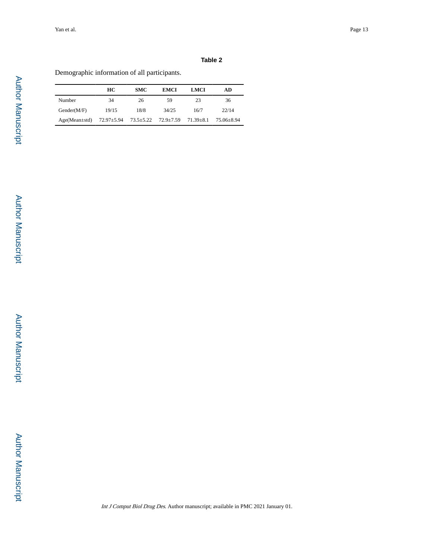# **Table 2**

Demographic information of all participants.

|                     | HС         | <b>SMC</b>      | <b>EMCI</b> | LMCI            | AD         |
|---------------------|------------|-----------------|-------------|-----------------|------------|
| Number              | 34         | 26              | 59          | 23              | 36         |
| Gender(M/F)         | 19/15      | 18/8            | 34/25       | 16/7            | 22/14      |
| $Age(Mean \pm std)$ | 72.97±5.94 | $73.5 \pm 5.22$ | 72.9±7.59   | $71.39 \pm 8.1$ | 75.06±8.94 |